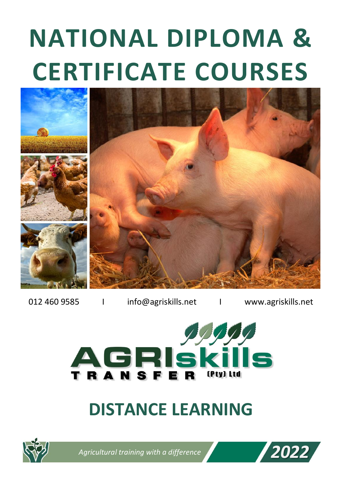# **NATIONAL DIPLOMA & CERTIFICATE COURSES**



012 460 9585 I info@agriskills.net I www.agriskills.net



## **DISTANCE LEARNING**



*Agricultural training with a difference 2022*

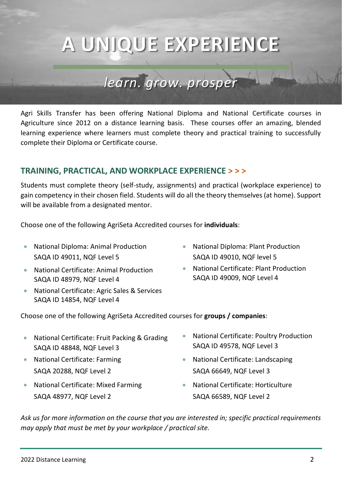## **A UNIQUE EXPERIENCE**

## *learn. grow. prosper*

Agri Skills Transfer has been offering National Diploma and National Certificate courses in Agriculture since 2012 on a distance learning basis. These courses offer an amazing, blended learning experience where learners must complete theory and practical training to successfully complete their Diploma or Certificate course.

## **TRAINING, PRACTICAL, AND WORKPLACE EXPERIENCE > > >**

Students must complete theory (self-study, assignments) and practical (workplace experience) to gain competency in their chosen field. Students will do all the theory themselves (at home). Support will be available from a designated mentor.

Choose one of the following AgriSeta Accredited courses for **individuals**:

- National Diploma: Animal Production SAQA ID 49011, NQF Level 5
- National Certificate: Animal Production SAQA ID 48979, NQF Level 4
- National Certificate: Agric Sales & Services SAQA ID 14854, NQF Level 4
- National Diploma: Plant Production SAQA ID 49010, NQF level 5
- National Certificate: Plant Production SAQA ID 49009, NQF Level 4

Choose one of the following AgriSeta Accredited courses for **groups / companies**:

- National Certificate: Fruit Packing & Grading SAQA ID 48848, NQF Level 3
- National Certificate: Farming SAQA 20288, NQF Level 2
- National Certificate: Mixed Farming SAQA 48977, NQF Level 2
- National Certificate: Poultry Production SAQA ID 49578, NQF Level 3
- National Certificate: Landscaping SAQA 66649, NQF Level 3
- National Certificate: Horticulture SAQA 66589, NQF Level 2

*Ask us for more information on the course that you are interested in; specific practical requirements may apply that must be met by your workplace / practical site.*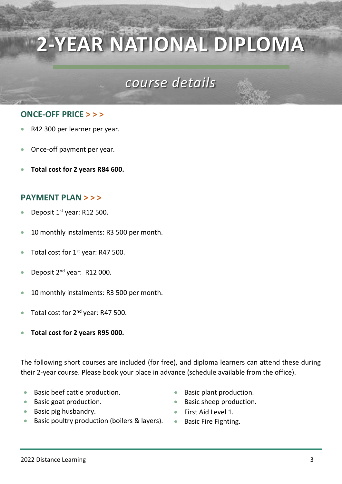## **2-YEAR NATIONAL DIPLOMA**

## *course details*

### **ONCE-OFF PRICE > > >**

- R42 300 per learner per year.
- Once-off payment per year.
- **Total cost for 2 years R84 600.**

#### **PAYMENT PLAN > > >**

- Deposit 1<sup>st</sup> year: R12 500.
- 10 monthly instalments: R3 500 per month.
- Total cost for 1<sup>st</sup> year: R47 500.
- Deposit 2nd year: R12 000.
- 10 monthly instalments: R3 500 per month.
- Total cost for 2<sup>nd</sup> year: R47 500.
- **Total cost for 2 years R95 000.**

The following short courses are included (for free), and diploma learners can attend these during their 2-year course. Please book your place in advance (schedule available from the office).

- Basic beef cattle production.
- Basic goat production.
- Basic pig husbandry.
- Basic poultry production (boilers & layers).
- Basic plant production.
- Basic sheep production.
- First Aid Level 1.
- Basic Fire Fighting.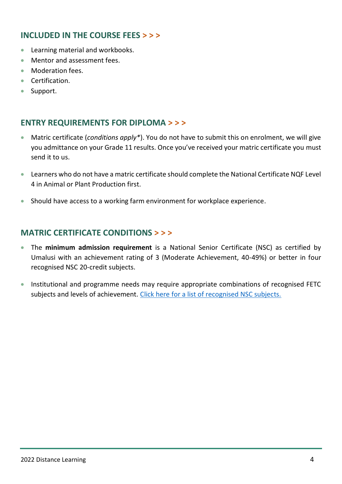## **INCLUDED IN THE COURSE FEES > > >**

- Learning material and workbooks.
- Mentor and assessment fees.
- Moderation fees.
- Certification.
- Support.

## **ENTRY REQUIREMENTS FOR DIPLOMA > > >**

- Matric certificate (*conditions apply\**). You do not have to submit this on enrolment, we will give you admittance on your Grade 11 results. Once you've received your matric certificate you must send it to us.
- Learners who do not have a matric certificate should complete the National Certificate NQF Level 4 in Animal or Plant Production first.
- Should have access to a working farm environment for workplace experience.

### **MATRIC CERTIFICATE CONDITIONS > > >**

- The **minimum admission requirement** is a National Senior Certificate (NSC) as certified by Umalusi with an achievement rating of 3 (Moderate Achievement, 40-49%) or better in four recognised NSC 20-credit subjects.
- Institutional and programme needs may require appropriate combinations of recognised FETC subjects and levels of achievement. [Click here for a list of recognised NSC subjects.](http://agriskills.net/wp-content/uploads/2021/07/Minimum-Admission-Requirements-for-Diploma.pdf)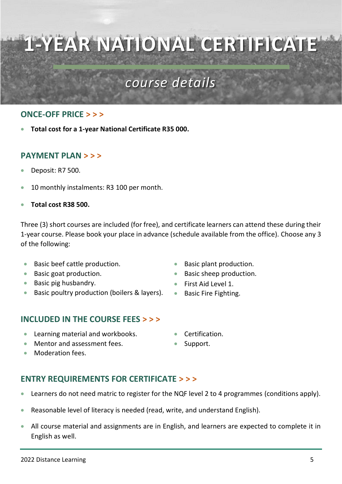

## *course details*

#### **ONCE-OFF PRICE > > >**

• **Total cost for a 1-year National Certificate R35 000.**

#### **PAYMENT PLAN > > >**

- Deposit: R7 500.
- 10 monthly instalments: R3 100 per month.
- **Total cost R38 500.**

Three (3) short courses are included (for free), and certificate learners can attend these during their 1-year course. Please book your place in advance (schedule available from the office). Choose any 3 of the following:

- Basic beef cattle production.
- Basic goat production.
- Basic pig husbandry.
- Basic poultry production (boilers & layers).

#### **INCLUDED IN THE COURSE FEES > > >**

- Learning material and workbooks.
- Mentor and assessment fees.

• Certification.

• Basic plant production. • Basic sheep production.

• First Aid Level 1. • Basic Fire Fighting.

Support.

• Moderation fees.

## **ENTRY REQUIREMENTS FOR CERTIFICATE > > >**

- Learners do not need matric to register for the NQF level 2 to 4 programmes (conditions apply).
- Reasonable level of literacy is needed (read, write, and understand English).
- All course material and assignments are in English, and learners are expected to complete it in English as well.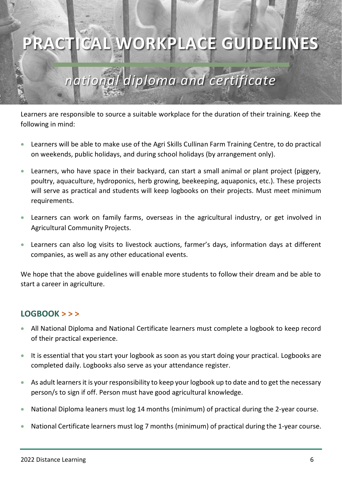## **ACTICAL WORKPLACE GUIDELINES**

## *national diploma and certificate*

Learners are responsible to source a suitable workplace for the duration of their training. Keep the following in mind:

- Learners will be able to make use of the Agri Skills Cullinan Farm Training Centre, to do practical on weekends, public holidays, and during school holidays (by arrangement only).
- Learners, who have space in their backyard, can start a small animal or plant project (piggery, poultry, aquaculture, hydroponics, herb growing, beekeeping, aquaponics, etc.). These projects will serve as practical and students will keep logbooks on their projects. Must meet minimum requirements.
- Learners can work on family farms, overseas in the agricultural industry, or get involved in Agricultural Community Projects.
- Learners can also log visits to livestock auctions, farmer's days, information days at different companies, as well as any other educational events.

We hope that the above guidelines will enable more students to follow their dream and be able to start a career in agriculture.

#### **LOGBOOK > > >**

- All National Diploma and National Certificate learners must complete a logbook to keep record of their practical experience.
- It is essential that you start your logbook as soon as you start doing your practical. Logbooks are completed daily. Logbooks also serve as your attendance register.
- As adult learners it is your responsibility to keep your logbook up to date and to get the necessary person/s to sign if off. Person must have good agricultural knowledge.
- National Diploma leaners must log 14 months (minimum) of practical during the 2-year course.
- National Certificate learners must log 7 months (minimum) of practical during the 1-year course.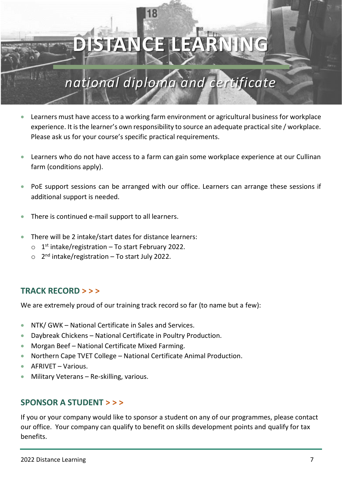# **DISTANCE LEARNING** *national diploma and certificate*

- Learners must have access to a working farm environment or agricultural business for workplace experience. It is the learner's own responsibility to source an adequate practical site / workplace. Please ask us for your course's specific practical requirements.
- Learners who do not have access to a farm can gain some workplace experience at our Cullinan farm (conditions apply).
- PoE support sessions can be arranged with our office. Learners can arrange these sessions if additional support is needed.
- There is continued e-mail support to all learners.
- There will be 2 intake/start dates for distance learners:
	- $\circ$  1<sup>st</sup> intake/registration To start February 2022.
	- $\circ$  2<sup>nd</sup> intake/registration To start July 2022.

#### **TRACK RECORD > > >**

We are extremely proud of our training track record so far (to name but a few):

- NTK/ GWK National Certificate in Sales and Services.
- Daybreak Chickens National Certificate in Poultry Production.
- Morgan Beef National Certificate Mixed Farming.
- Northern Cape TVET College National Certificate Animal Production.
- AFRIVET Various.
- Military Veterans Re-skilling, various.

## **SPONSOR A STUDENT > > >**

If you or your company would like to sponsor a student on any of our programmes, please contact our office. Your company can qualify to benefit on skills development points and qualify for tax benefits.